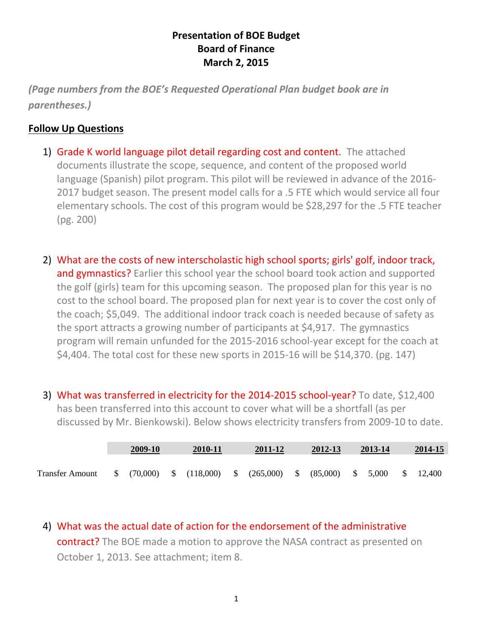## **Presentation of BOE Budget Board of Finance March 2, 2015**

*(Page numbers from the BOE's Requested Operational Plan budget book are in parentheses.)*

## **Follow Up Questions**

- 1) Grade K world language pilot detail regarding cost and content. The attached documents illustrate the scope, sequence, and content of the proposed world language (Spanish) pilot program. This pilot will be reviewed in advance of the 2016- 2017 budget season. The present model calls for a .5 FTE which would service all four elementary schools. The cost of this program would be \$28,297 for the .5 FTE teacher (pg. 200)
- 2) What are the costs of new interscholastic high school sports; girls' golf, indoor track, and gymnastics? Earlier this school year the school board took action and supported the golf (girls) team for this upcoming season. The proposed plan for this year is no cost to the school board. The proposed plan for next year is to cover the cost only of the coach; \$5,049. The additional indoor track coach is needed because of safety as the sport attracts a growing number of participants at \$4,917. The gymnastics program will remain unfunded for the 2015-2016 school-year except for the coach at \$4,404. The total cost for these new sports in 2015-16 will be \$14,370. (pg. 147)
- 3) What was transferred in electricity for the 2014-2015 school-year? To date, \$12,400 has been transferred into this account to cover what will be a shortfall (as per discussed by Mr. Bienkowski). Below shows electricity transfers from 2009-10 to date.

|                        | 2009-10 |  | 2010-11 |  | 2011-12                                                                             |  | 2012-13 | 2013-14 |  | 2014-15             |  |
|------------------------|---------|--|---------|--|-------------------------------------------------------------------------------------|--|---------|---------|--|---------------------|--|
| <b>Transfer Amount</b> |         |  |         |  | $$^{6}$ (70,000) $$^{6}$ (118,000) $$^{6}$ (265,000) $$^{6}$ (85,000) $$^{6}$ 5,000 |  |         |         |  | $\frac{\$}{12,400}$ |  |

4) What was the actual date of action for the endorsement of the administrative contract? The BOE made a motion to approve the NASA contract as presented on October 1, 2013. See attachment; item 8.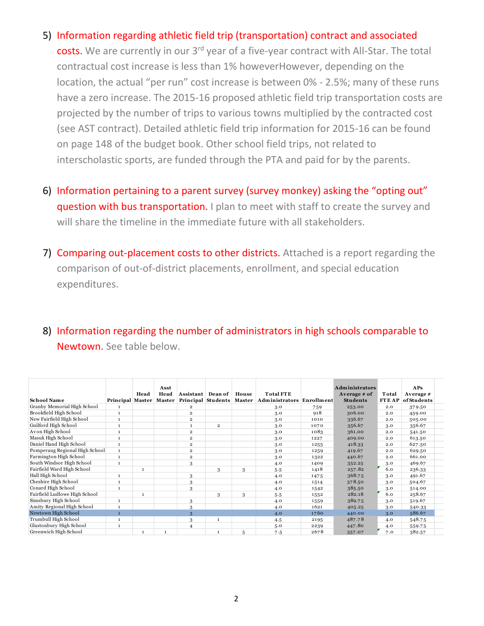- 5) Information regarding athletic field trip (transportation) contract and associated costs. We are currently in our 3<sup>rd</sup> year of a five-year contract with All-Star. The total contractual cost increase is less than 1% howeverHowever, depending on the location, the actual "per run" cost increase is between 0% - 2.5%; many of these runs have a zero increase. The 2015-16 proposed athletic field trip transportation costs are projected by the number of trips to various towns multiplied by the contracted cost (see AST contract). Detailed athletic field trip information for 2015-16 can be found on page 148 of the budget book. Other school field trips, not related to interscholastic sports, are funded through the PTA and paid for by the parents.
- 6) Information pertaining to a parent survey (survey monkey) asking the "opting out" question with bus transportation. I plan to meet with staff to create the survey and will share the timeline in the immediate future with all stakeholders.
- 7) Comparing out-placement costs to other districts. Attached is a report regarding the comparison of out-of-district placements, enrollment, and special education expenditures.
- 8) Information regarding the number of administrators in high schools comparable to Newtown. See table below.

| <b>School Name</b>             | Principal Master | Head         | Asst<br>Head<br>Master | Assistant               | Dean of<br>Principal Students   Master | House | <b>Total FTE</b><br>Administrators Enrollment |      | <b>Administrators</b><br>Average # of<br><b>Students</b> | Total<br><b>FTEAP</b> | APs<br>Average #<br>ofStudents |
|--------------------------------|------------------|--------------|------------------------|-------------------------|----------------------------------------|-------|-----------------------------------------------|------|----------------------------------------------------------|-----------------------|--------------------------------|
| Granby Memorial High School    | $\mathbf{1}$     |              |                        | $\overline{2}$          |                                        |       | 3.0                                           | 759  | 253.00                                                   | 2.0                   | 379.50                         |
| Brookfield High School         | $\mathbf{1}$     |              |                        | $\overline{2}$          |                                        |       | 3.0                                           | 918  | 306.00                                                   | 2.0                   | 459.00                         |
| New Fairfield High School      | $\mathbf{1}$     |              |                        | $\overline{2}$          |                                        |       | 3.0                                           | 1010 | 336.67                                                   | 2.0                   | 505.00                         |
| Guilford High School           | $\mathbf{1}$     |              |                        | $\mathbf{1}$            | $\overline{\mathbf{2}}$                |       | 3.0                                           | 1070 | 356.67                                                   | 3.0                   | 356.67                         |
| Avon High School               | $\mathbf{1}$     |              |                        | $\overline{\mathbf{2}}$ |                                        |       | 3.0                                           | 1083 | 361.00                                                   | 2.0                   | 541.50                         |
| Masuk High School              | $\mathbf{1}$     |              |                        | $\overline{\mathbf{2}}$ |                                        |       | 3.0                                           | 1227 | 409.00                                                   | 2.0                   | 613.50                         |
| Daniel Hand High School        | $\mathbf 1$      |              |                        | $\overline{\mathbf{2}}$ |                                        |       | 3.0                                           | 1255 | 418.33                                                   | 2.0                   | 627.50                         |
| Pomperaug Regional High School | $\mathbf{1}$     |              |                        | $\overline{\mathbf{2}}$ |                                        |       | 3.0                                           | 1259 | 419.67                                                   | 2.0                   | 629.50                         |
| Farmington High School         | $\mathbf{1}$     |              |                        | $\overline{\mathbf{2}}$ |                                        |       | 3.0                                           | 1322 | 440.67                                                   | 2.0                   | 661.00                         |
| South Windsor High School      | $\mathbf{1}$     |              |                        | 3                       |                                        |       | 4.0                                           | 1409 | 352.25                                                   | 3.0                   | 469.67                         |
| Fairfield Ward High School     |                  | 1            |                        |                         | 3                                      | 3     | 5.5                                           | 1418 | 257.82                                                   | 6.0                   | 236.33                         |
| Hall High School               | $\mathbf{1}$     |              |                        | 3                       |                                        |       | 4.0                                           | 1475 | 368.75                                                   | 3.0                   | 491.67                         |
| Cheshire High School           | $\mathbf 1$      |              |                        | 3                       |                                        |       | 4.0                                           | 1514 | 378.50                                                   | 3.0                   | 504.67                         |
| Conard High School             | $\mathbf{1}$     |              |                        | 3                       |                                        |       | 4.0                                           | 1542 | 385.50                                                   | 3.0                   | 514.00                         |
| Fairfield Ludlowe High School  |                  | 1            |                        |                         | 3                                      | 3     | 5.5                                           | 1552 | 282.18                                                   | 6.0                   | 258.67                         |
| Simsbury High School           | $\mathbf{1}$     |              |                        | 3                       |                                        |       | 4.0                                           | 1559 | 389.75                                                   | 3.0                   | 519.67                         |
| Amity Regional High School     | $\mathbf{1}$     |              |                        | 3                       |                                        |       | 4.0                                           | 1621 | 405.25                                                   | 3.0                   | 540.33                         |
| Newtown High School            | $\mathbf{1}$     |              |                        | 3                       |                                        |       | 4.0                                           | 1760 | 440.00                                                   | 3.0                   | 586.67                         |
| Trumbull High School           | $\mathbf{1}$     |              |                        | 3                       |                                        |       | 4.5                                           | 2195 | 487.78                                                   | 4.0                   | 548.75                         |
| Glastonbury High School        | $\mathbf{1}$     |              |                        | 4                       |                                        |       | 5.0                                           | 2239 | 447.80                                                   | 4.0                   | 559.75                         |
| Greenwich High School          |                  | $\mathbf{1}$ | $\mathbf{1}$           |                         | $\mathbf{1}$                           | 5     | 7.5                                           | 2678 | 357.07                                                   | 7.0                   | 382.57                         |